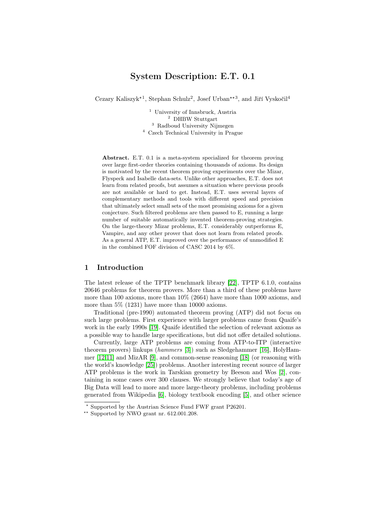# System Description: E.T. 0.1

Cezary Kaliszyk<sup>\*1</sup>, Stephan Schulz<sup>2</sup>, Josef Urban<sup>\*\*3</sup>, and Jiří Vyskočil<sup>4</sup>

 University of Innsbruck, Austria <sup>2</sup> DHBW Stuttgart Radboud University Nijmegen Czech Technical University in Prague

Abstract. E.T. 0.1 is a meta-system specialized for theorem proving over large first-order theories containing thousands of axioms. Its design is motivated by the recent theorem proving experiments over the Mizar, Flyspeck and Isabelle data-sets. Unlike other approaches, E.T. does not learn from related proofs, but assumes a situation where previous proofs are not available or hard to get. Instead, E.T. uses several layers of complementary methods and tools with different speed and precision that ultimately select small sets of the most promising axioms for a given conjecture. Such filtered problems are then passed to E, running a large number of suitable automatically invented theorem-proving strategies. On the large-theory Mizar problems, E.T. considerably outperforms E, Vampire, and any other prover that does not learn from related proofs. As a general ATP, E.T. improved over the performance of unmodified E in the combined FOF division of CASC 2014 by 6%.

#### 1 Introduction

The latest release of the TPTP benchmark library [\[22\]](#page-9-0), TPTP 6.1.0, contains 20646 problems for theorem provers. More than a third of these problems have more than 100 axioms, more than 10% (2664) have more than 1000 axioms, and more than 5% (1231) have more than 10000 axioms.

Traditional (pre-1990) automated theorem proving (ATP) did not focus on such large problems. First experience with larger problems came from Quaife's work in the early 1990s [\[19\]](#page-9-1). Quaife identified the selection of relevant axioms as a possible way to handle large specifications, but did not offer detailed solutions.

Currently, large ATP problems are coming from ATP-to-ITP (interactive theorem provers) linkups (hammers [\[3\]](#page-8-0)) such as Sledgehammer [\[16\]](#page-9-2), HolyHammer [\[12,](#page-9-3)[11\]](#page-9-4) and MizAR [\[9\]](#page-9-5), and common-sense reasoning [\[18\]](#page-9-6) (or reasoning with the world's knowledge [\[25\]](#page-9-7)) problems. Another interesting recent source of larger ATP problems is the work in Tarskian geometry by Beeson and Wos [\[2\]](#page-8-1), containing in some cases over 300 clauses. We strongly believe that today's age of Big Data will lead to more and more large-theory problems, including problems generated from Wikipedia [\[6\]](#page-8-2), biology textbook encoding [\[5\]](#page-8-3), and other science

<sup>?</sup> Supported by the Austrian Science Fund FWF grant P26201.

<sup>\*\*</sup> Supported by NWO grant nr.  $612.001.208$ .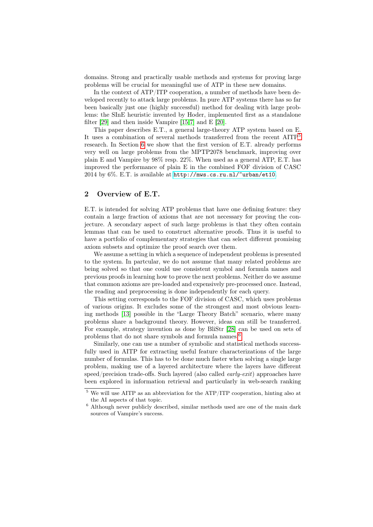domains. Strong and practically usable methods and systems for proving large problems will be crucial for meaningful use of ATP in these new domains.

In the context of ATP/ITP cooperation, a number of methods have been developed recently to attack large problems. In pure ATP systems there has so far been basically just one (highly successful) method for dealing with large problems: the SInE heuristic invented by Hoder, implemented first as a standalone filter [\[29\]](#page-9-8) and then inside Vampire [\[15](#page-9-9)[,7\]](#page-8-4) and E [\[20\]](#page-9-10).

This paper describes E.T., a general large-theory ATP system based on E. It uses a combination of several methods transferred from the recent AITP[5](#page-1-0) research. In Section [6](#page-5-0) we show that the first version of E.T. already performs very well on large problems from the MPTP2078 benchmark, improving over plain E and Vampire by 98% resp. 22%. When used as a general ATP, E.T. has improved the performance of plain E in the combined FOF division of CASC 2014 by 6%. E.T. is available at <http://mws.cs.ru.nl/~urban/et10>.

### 2 Overview of E.T.

E.T. is intended for solving ATP problems that have one defining feature: they contain a large fraction of axioms that are not necessary for proving the conjecture. A secondary aspect of such large problems is that they often contain lemmas that can be used to construct alternative proofs. Thus it is useful to have a portfolio of complementary strategies that can select different promising axiom subsets and optimize the proof search over them.

We assume a setting in which a sequence of independent problems is presented to the system. In partcular, we do not assume that many related problems are being solved so that one could use consistent symbol and formula names and previous proofs in learning how to prove the next problems. Neither do we assume that common axioms are pre-loaded and expensively pre-processed once. Instead, the reading and preprocessing is done independently for each query.

This setting corresponds to the FOF division of CASC, which uses problems of various origins. It excludes some of the strongest and most obvious learning methods [\[13\]](#page-9-11) possible in the "Large Theory Batch" scenario, where many problems share a background theory. However, ideas can still be transferred. For example, strategy invention as done by BliStr [\[28\]](#page-9-12) can be used on sets of problems that do not share symbols and formula names.[6](#page-1-1)

Similarly, one can use a number of symbolic and statistical methods successfully used in AITP for extracting useful feature characterizations of the large number of formulas. This has to be done much faster when solving a single large problem, making use of a layered architecture where the layers have different speed/precision trade-offs. Such layered (also called  $\ell$  *early-exit*) approaches have been explored in information retrieval and particularly in web-search ranking

<span id="page-1-0"></span> $^5$  We will use AITP as an abbreviation for the ATP/ITP cooperation, hinting also at the AI aspects of that topic.

<span id="page-1-1"></span> $6$  Although never publicly described, similar methods used are one of the main dark sources of Vampire's success.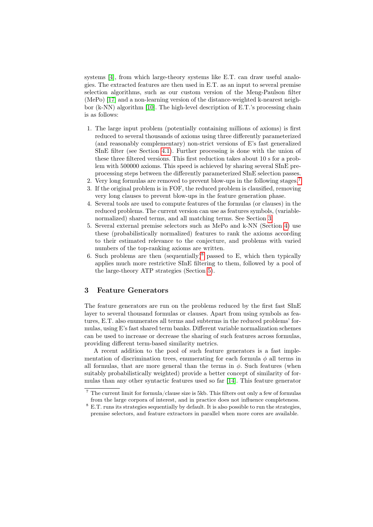systems [\[4\]](#page-8-5), from which large-theory systems like E.T. can draw useful analogies. The extracted features are then used in E.T. as an input to several premise selection algorithms, such as our custom version of the Meng-Paulson filter (MePo) [\[17\]](#page-9-13) and a non-learning version of the distance-weighted k-nearest neighbor (k-NN) algorithm [\[10\]](#page-9-14). The high-level description of E.T.'s processing chain is as follows:

- 1. The large input problem (potentially containing millions of axioms) is first reduced to several thousands of axioms using three differently parameterized (and reasonably complementary) non-strict versions of E's fast generalized SInE filter (see Section [4.1\)](#page-3-0). Further processing is done with the union of these three filtered versions. This first reduction takes about 10 s for a problem with 500000 axioms. This speed is achieved by sharing several SInE preprocessing steps between the differently parameterized SInE selection passes.
- 2. Very long formulas are removed to prevent blow-ups in the following stages.[7](#page-2-0)
- 3. If the original problem is in FOF, the reduced problem is clausified, removing very long clauses to prevent blow-ups in the feature generation phase.
- 4. Several tools are used to compute features of the formulas (or clauses) in the reduced problems. The current version can use as features symbols, (variablenormalized) shared terms, and all matching terms. See Section [3.](#page-2-1)
- 5. Several external premise selectors such as MePo and k-NN (Section [4\)](#page-3-1) use these (probabilistically normalized) features to rank the axioms according to their estimated relevance to the conjecture, and problems with varied numbers of the top-ranking axioms are written.
- 6. Such problems are then (sequentially)<sup>[8](#page-2-2)</sup> passed to E, which then typically applies much more restrictive SInE filtering to them, followed by a pool of the large-theory ATP strategies (Section [5\)](#page-5-1).

## <span id="page-2-1"></span>3 Feature Generators

The feature generators are run on the problems reduced by the first fast SInE layer to several thousand formulas or clauses. Apart from using symbols as features, E.T. also enumerates all terms and subterms in the reduced problems' formulas, using E's fast shared term banks. Different variable normalization schemes can be used to increase or decrease the sharing of such features across formulas, providing different term-based similarity metrics.

A recent addition to the pool of such feature generators is a fast implementation of discrimination trees, enumerating for each formula  $\phi$  all terms in all formulas, that are more general than the terms in  $\phi$ . Such features (when suitably probabilistically weighted) provide a better concept of similarity of formulas than any other syntactic features used so far [\[14\]](#page-9-15). This feature generator

<span id="page-2-0"></span> $^7\,$  The current limit for formula/clause size is 5kb. This filters out only a few of formulas from the large corpora of interest, and in practice does not influence completeness.

<span id="page-2-2"></span><sup>8</sup> E.T. runs its strategies sequentially by default. It is also possible to run the strategies, premise selectors, and feature extractors in parallel when more cores are available.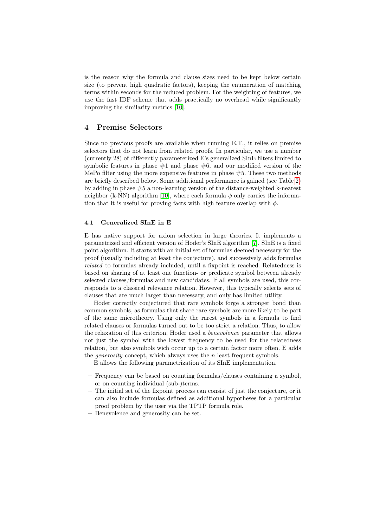is the reason why the formula and clause sizes need to be kept below certain size (to prevent high quadratic factors), keeping the enumeration of matching terms within seconds for the reduced problem. For the weighting of features, we use the fast IDF scheme that adds practically no overhead while significantly improving the similarity metrics [\[10\]](#page-9-14).

## <span id="page-3-1"></span>4 Premise Selectors

Since no previous proofs are available when running E.T., it relies on premise selectors that do not learn from related proofs. In particular, we use a number (currently 28) of differently parameterized E's generalized SInE filters limited to symbolic features in phase  $#1$  and phase  $#6$ , and our modified version of the MePo filter using the more expensive features in phase  $#5$ . These two methods are briefly described below. Some additional performance is gained (see Table [2\)](#page-7-0) by adding in phase #5 a non-learning version of the distance-weighted k-nearest neighbor (k-NN) algorithm [\[10\]](#page-9-14), where each formula  $\phi$  only carries the information that it is useful for proving facts with high feature overlap with  $\phi$ .

## <span id="page-3-0"></span>4.1 Generalized SInE in E

E has native support for axiom selection in large theories. It implements a parametrized and efficient version of Hoder's SInE algorithm [\[7\]](#page-8-4). SInE is a fixed point algorithm. It starts with an initial set of formulas deemed necessary for the proof (usually including at least the conjecture), and successively adds formulas related to formulas already included, until a fixpoint is reached. Relatedness is based on sharing of at least one function- or predicate symbol between already selected clauses/formulas and new candidates. If all symbols are used, this corresponds to a classical relevance relation. However, this typically selects sets of clauses that are much larger than necessary, and only has limited utility.

Hoder correctly conjectured that rare symbols forge a stronger bond than common symbols, as formulas that share rare symbols are more likely to be part of the same microtheory. Using only the rarest symbols in a formula to find related clauses or formulas turned out to be too strict a relation. Thus, to allow the relaxation of this criterion, Hoder used a benevolence parameter that allows not just the symbol with the lowest frequency to be used for the relatedness relation, but also symbols wich occur up to a certain factor more often. E adds the *generosity* concept, which always uses the  $n$  least frequent symbols.

E allows the following parametrization of its SInE implementation.

- $-$  Frequency can be based on counting formulas/clauses containing a symbol, or on counting individual (sub-)terms.
- The initial set of the fixpoint process can consist of just the conjecture, or it can also include formulas defined as additional hypotheses for a particular proof problem by the user via the TPTP formula role.
- Benevolence and generosity can be set.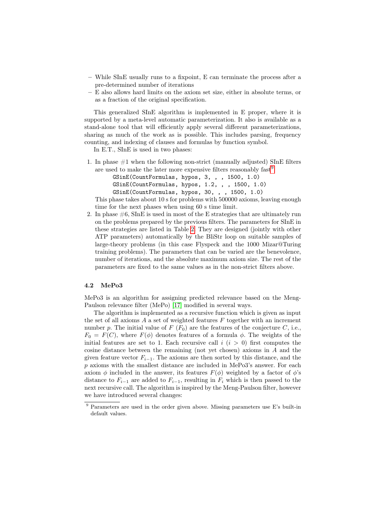- While SInE usually runs to a fixpoint, E can terminate the process after a pre-determined number of iterations
- E also allows hard limits on the axiom set size, either in absolute terms, or as a fraction of the original specification.

This generalized SInE algorithm is implemented in E proper, where it is supported by a meta-level automatic parameterization. It also is available as a stand-alone tool that will efficiently apply several different parameterizations, sharing as much of the work as is possible. This includes parsing, frequency counting, and indexing of clauses and formulas by function symbol.

In E.T., SInE is used in two phases:

1. In phase  $#1$  when the following non-strict (manually adjusted) SInE filters are used to make the later more expensive filters reasonably  $fast^9$  $fast^9$ :

| GSinE(CountFormulas, hypos, 3, , , 1500, 1.0)   |  |  |
|-------------------------------------------------|--|--|
| GSinE(CountFormulas, hypos, 1.2, , , 1500, 1.0) |  |  |
| GSinE(CountFormulas, hypos, 30, , , 1500, 1.0)  |  |  |

This phase takes about 10 s for problems with 500000 axioms, leaving enough time for the next phases when using 60 s time limit.

2. In phase  $\#6$ , SInE is used in most of the E strategies that are ultimately run on the problems prepared by the previous filters. The parameters for SInE in these strategies are listed in Table [2.](#page-7-0) They are designed (jointly with other ATP parameters) automatically by the BliStr loop on suitable samples of large-theory problems (in this case Flyspeck and the 1000 Mizar@Turing training problems). The parameters that can be varied are the benevolence, number of iterations, and the absolute maximum axiom size. The rest of the parameters are fixed to the same values as in the non-strict filters above.

#### 4.2 MePo3

MePo3 is an algorithm for assigning predicted relevance based on the Meng-Paulson relevance filter (MePo) [\[17\]](#page-9-13) modified in several ways.

The algorithm is implemented as a recursive function which is given as input the set of all axioms  $A$  a set of weighted features  $F$  together with an increment number p. The initial value of F  $(F_0)$  are the features of the conjecture C, i.e.,  $F_0 = F(C)$ , where  $F(\phi)$  denotes features of a formula  $\phi$ . The weights of the initial features are set to 1. Each recursive call  $i$  ( $i > 0$ ) first computes the cosine distance between the remaining (not yet chosen) axioms in A and the given feature vector  $F_{i-1}$ . The axioms are then sorted by this distance, and the  $p$  axioms with the smallest distance are included in MePo3's answer. For each axiom  $\phi$  included in the answer, its features  $F(\phi)$  weighted by a factor of  $\phi$ 's distance to  $F_{i-1}$  are added to  $F_{i-1}$ , resulting in  $F_i$  which is then passed to the next recursive call. The algorithm is inspired by the Meng-Paulson filter, however we have introduced several changes:

<span id="page-4-0"></span><sup>9</sup> Parameters are used in the order given above. Missing parameters use E's built-in default values.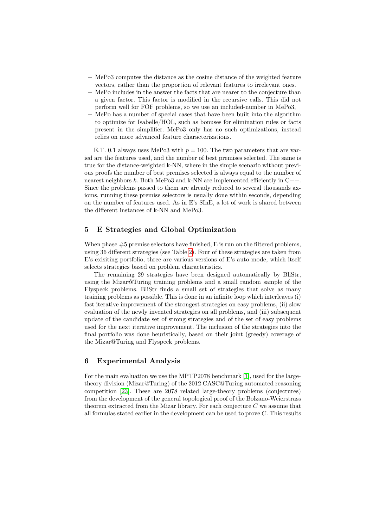- MePo3 computes the distance as the cosine distance of the weighted feature vectors, rather than the proportion of relevant features to irrelevant ones.
- MePo includes in the answer the facts that are nearer to the conjecture than a given factor. This factor is modified in the recursive calls. This did not perform well for FOF problems, so we use an included-number in MePo3,
- MePo has a number of special cases that have been built into the algorithm to optimize for Isabelle/HOL, such as bonuses for elimination rules or facts present in the simplifier. MePo3 only has no such optimizations, instead relies on more advanced feature characterizations.

E.T. 0.1 always uses MePo3 with  $p = 100$ . The two parameters that are varied are the features used, and the number of best premises selected. The same is true for the distance-weighted k-NN, where in the simple scenario without previous proofs the number of best premises selected is always equal to the number of nearest neighbors k. Both MePo3 and k-NN are implemented efficiently in  $C++$ . Since the problems passed to them are already reduced to several thousands axioms, running these premise selectors is usually done within seconds, depending on the number of features used. As in E's SInE, a lot of work is shared between the different instances of k-NN and MePo3.

## <span id="page-5-1"></span>5 E Strategies and Global Optimization

When phase  $#5$  premise selectors have finished, E is run on the filtered problems, using 36 different strategies (see Table [2\)](#page-7-0). Four of these strategies are taken from E's exisiting portfolio, three are various versions of E's auto mode, which itself selects strategies based on problem characteristics.

The remaining 29 strategies have been designed automatically by BliStr, using the Mizar@Turing training problems and a small random sample of the Flyspeck problems. BliStr finds a small set of strategies that solve as many training problems as possible. This is done in an infinite loop which interleaves (i) fast iterative improvement of the strongest strategies on easy problems, (ii) slow evaluation of the newly invented strategies on all problems, and (iii) subsequent update of the candidate set of strong strategies and of the set of easy problems used for the next iterative improvement. The inclusion of the strategies into the final portfolio was done heuristically, based on their joint (greedy) coverage of the Mizar@Turing and Flyspeck problems.

## <span id="page-5-0"></span>6 Experimental Analysis

For the main evaluation we use the MPTP2078 benchmark [\[1\]](#page-8-6), used for the largetheory division (Mizar@Turing) of the 2012 CASC@Turing automated reasoning competition [\[23\]](#page-9-16). These are 2078 related large-theory problems (conjectures) from the development of the general topological proof of the Bolzano-Weierstrass theorem extracted from the Mizar library. For each conjecture  $C$  we assume that all formulas stated earlier in the development can be used to prove  $C$ . This results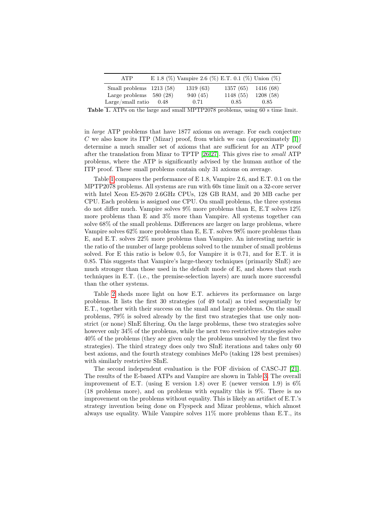| <b>ATP</b>               | E 1.8 (%) Vampire 2.6 (%) E.T. 0.1 (%) Union (%) |           |           |
|--------------------------|--------------------------------------------------|-----------|-----------|
| Small problems 1213 (58) | 1319(63)                                         | 1357(65)  | 1416 (68) |
| Large problems $580(28)$ | 940 (45)                                         | 1148 (55) | 1208(58)  |
| Large/small ratio $0.48$ | 0.71                                             | 0.85      | 0.85      |

<span id="page-6-0"></span>Table 1. ATPs on the large and small MPTP2078 problems, using 60 s time limit.

in large ATP problems that have 1877 axioms on average. For each conjecture C we also know its ITP (Mizar) proof, from which we can (approximately  $[1]$ ) determine a much smaller set of axioms that are sufficient for an ATP proof after the translation from Mizar to TPTP [\[26,](#page-9-17)[27\]](#page-9-18). This gives rise to small ATP problems, where the ATP is significantly advised by the human author of the ITP proof. These small problems contain only 31 axioms on average.

Table [1](#page-6-0) compares the performance of E 1.8, Vampire 2.6, and E.T. 0.1 on the MPTP2078 problems. All systems are run with 60s time limit on a 32-core server with Intel Xeon E5-2670 2.6GHz CPUs, 128 GB RAM, and 20 MB cache per CPU. Each problem is assigned one CPU. On small problems, the three systems do not differ much. Vampire solves 9% more problems than E, E.T solves 12% more problems than E and 3% more than Vampire. All systems together can solve 68% of the small problems. Differences are larger on large problems, where Vampire solves 62% more problems than E, E.T. solves 98% more problems than E, and E.T. solves 22% more problems than Vampire. An interesting metric is the ratio of the number of large problems solved to the number of small problems solved. For E this ratio is below 0.5, for Vampire it is 0.71, and for E.T. it is 0.85. This suggests that Vampire's large-theory techniques (primarily SInE) are much stronger than those used in the default mode of E, and shows that such techniques in E.T. (i.e., the premise-selection layers) are much more successful than the other systems.

Table [2](#page-7-0) sheds more light on how E.T. achieves its performance on large problems. It lists the first 30 strategies (of 49 total) as tried sequentially by E.T., together with their success on the small and large problems. On the small problems, 79% is solved already by the first two strategies that use only nonstrict (or none) SInE filtering. On the large problems, these two strategies solve however only  $34\%$  of the problems, while the next two restrictive strategies solve 40% of the problems (they are given only the problems unsolved by the first two strategies). The third strategy does only two SInE iterations and takes only 60 best axioms, and the fourth strategy combines MePo (taking 128 best premises) with similarly restrictive SInE.

The second independent evaluation is the FOF division of CASC-J7 [\[21\]](#page-9-19). The results of the E-based ATPs and Vampire are shown in Table [3.](#page-7-1) The overall improvement of E.T. (using E version 1.8) over E (newer version 1.9) is  $6\%$ (18 problems more), and on problems with equality this is 9%. There is no improvement on the problems without equality. This is likely an artifact of E.T.'s strategy invention being done on Flyspeck and Mizar problems, which almost always use equality. While Vampire solves 11% more problems than E.T., its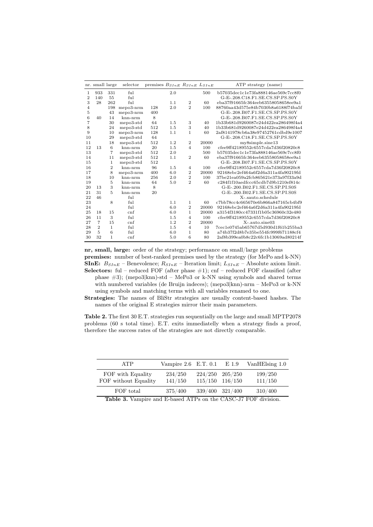|                | nr. small large |                | selector   | premises $B_{SInE} R_{SInE} L_{SInE}$ |     |                |       | ATP strategy (name)                 |
|----------------|-----------------|----------------|------------|---------------------------------------|-----|----------------|-------|-------------------------------------|
| 1              | 933             | 331            | ful        |                                       | 2.0 |                | 500   | b57035dec1c1e73fa888146ae569c7cc8f0 |
| $\overline{2}$ | 140             | 55             | $f_{11}$   |                                       |     |                |       | G-E-.208.C18.F1.SE.CS.SP.PS.S0Y     |
| 3              | 28              | 262            | $f_{11}$ ] |                                       | 1.1 | $\overline{2}$ | 60    | eba37f91665fc364eeb63558058658ee9a1 |
| $\overline{4}$ |                 | 198            | mepo3-nrm  | 128                                   | 2.0 | $\overline{2}$ | 100   | 88760aa43d575e84b7030b8a6188f74ba5f |
| 5              |                 | 43             | mepo3-nrm  | 400                                   |     |                |       | G-E-.208.B07.F1.SE.CS.SP.PS.S0Y     |
| 6              | 40              | 14             | knn-nrm    | 8                                     |     |                |       | G-E-.208.B07.F1.SE.CS.SP.PS.S0Y     |
| 7              |                 | 30             | mepo3-std  | 64                                    | 1.5 | 3              | 40    | 1b33b681d9260087e24d422ea286498f4a4 |
| 8              |                 | 24             | mepo3-std  | 512                                   | 1.5 | 3              | 40    | 1b33b681d9260087e24d422ea286498f4a4 |
| 9              |                 | 10             | mepo3-nrm  | 128                                   | 1.1 | 1              | 60    | 2af8141978cb6a38e97452761cdbd9e1007 |
| 10             |                 | 29             | mepo3-std  | 64                                    |     |                |       | G-E-.208.C18.F1.SE.CS.SP.PS.S0Y     |
| 11             |                 | 18             | mepo3-std  | 512                                   | 1.2 | $\overline{2}$ | 20000 | my8 simple.sine13                   |
| 12             | 13              | 6              | knn-nrm    | 20                                    | 1.5 | $\overline{4}$ | 100   | cfee9ff42189552c6557cda7d36f20820c8 |
| 13             |                 | 7              | mepo3-std  | 512                                   | 2.0 |                | 500   | b57035dec1c1e73fa888146ae569c7cc8f0 |
| 14             |                 | 11             | mepo3-std  | 512                                   | 1.1 | $\overline{2}$ | 60    | eba37f91665fc364eeb63558058658ee9a1 |
| 15             |                 | 1              | mepo3-std  | 512                                   |     |                |       | G-E-.208.B07.F1.SE.CS.SP.PS.S0Y     |
| 16             |                 | $\overline{2}$ | knn-nrm    | 96                                    | 1.5 | $\overline{4}$ | 100   | cfee9ff42189552c6557cda7d36f20820c8 |
| 17             |                 | 8              | mepo3-nrm  | 400                                   | 6.0 | $\overline{2}$ | 20000 | 92168ebc2ef464a6f2d6a311a4fa90219fd |
| 18             |                 | 10             | knn-nrm    | 256                                   | 2.0 | $\overline{2}$ | 100   | 37be21ea059a2fcb865621e373a97f33a9d |
| 19             |                 | 5              | $knn-nrm$  | 64                                    | 5.0 | $\overline{2}$ | 60    | c284f1f10aedfccc65cdb7d9b1210ef814c |
| 20             | 13              | 3              | $knn-nrm$  | 8                                     |     |                |       | G-E-.200.B02.F1.SE.CS.SP.PI.S0S     |
| 21             | 31              | $\overline{5}$ | knn-nrm    | 20                                    |     |                |       | G-E-.200.B02.F1.SE.CS.SP.PI.S0S     |
| 22             | 46              |                | ful        |                                       |     |                |       | X-.sauto.schedule                   |
| 23             |                 | 8              | ful        |                                       | 1.1 | 1              | 60    | c7bb78cc4c665670e6b866a847165cb4bf9 |
| 24             |                 |                | $f_{11}$   |                                       | 6.0 | $\overline{2}$ | 20000 | 92168ebc2ef464a6f2d6a311a4fa90219fd |
| 25             | 18              | 15             | cnf        |                                       | 6.0 | 1              | 20000 | a3154f3180cc47331f1b05c36960c32e480 |
| 26             | 11              | 3              | $f_{11}$   |                                       | 1.5 | $\overline{4}$ | 100   | cfee9ff42189552c6557cda7d36f20820c8 |
| 27             | $\overline{7}$  | 15             | cnf        |                                       | 1.2 | $\overline{2}$ | 20000 | X-.auto.sine03                      |
| 28             | $\overline{2}$  | $\mathbf{1}$   | ful        |                                       | 1.5 | $\overline{4}$ | 10    | 7cec1e0745ab65767d5d930d1f61b255ba3 |
| 29             | $\overline{5}$  | 6              | ful        |                                       | 6.0 | $\mathbf{1}$   | 80    | a74b37f2d8b7e35be554fc999f671188cf4 |
| 30             | 32              | 1              | cnf        |                                       | 5.0 | 6              | 80    | 2af8b399ea0b8c22c6fc1b13069ad80214f |

nr, small, large: order of the strategy; performance on small/large problems premises: number of best-ranked premises used by the strategy (for MePo and k-NN) SInE:  $B_{SInE}$  – Benevolence;  $R_{SInE}$  – Iteration limit;  $L_{SInE}$  – Absolute axiom limit. Selectors: ful – reduced FOF (after phase  $\#1$ ); cnf – reduced FOF clausified (after phase #3); (mepo3|knn)-std – MePo3 or k-NN using symbols and shared terms with numbered variables (de Bruijn indeces); (mepo3|knn)-nrm – MePo3 or k-NN using symbols and matching terms with all variables renamed to one.

Strategies: The names of BliStr strategies are usually content-based hashes. The names of the original E strategies mirror their main parameters.

<span id="page-7-0"></span>Table 2. The first 30 E.T. strategies run sequentially on the large and small MPTP2078 problems (60 s total time). E.T. exits immediatelly when a strategy finds a proof, therefore the success rates of the strategies are not directly comparable.

| ATP                                       | Vampire 2.6 E.T. 0.1 E 1.9 |                                            | VanHElsing 1.0     |
|-------------------------------------------|----------------------------|--------------------------------------------|--------------------|
| FOF with Equality<br>FOF without Equality | 234/250<br>141/150         | $224/250$ $205/250$<br>$115/150$ $116/150$ | 199/250<br>111/150 |
| FOF total                                 | 375/400                    | 339/400 321/400                            | 310/400            |

<span id="page-7-1"></span>Table 3. Vampire and E-based ATPs on the CASC-J7 FOF division.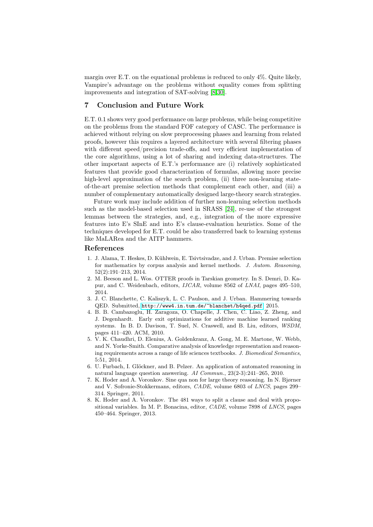margin over E.T. on the equational problems is reduced to only 4%. Quite likely, Vampire's advantage on the problems without equality comes from splitting improvements and integration of SAT-solving [\[8,](#page-8-7)[30\]](#page-9-20).

## 7 Conclusion and Future Work

E.T. 0.1 shows very good performance on large problems, while being competitive on the problems from the standard FOF category of CASC. The performance is achieved without relying on slow preprocessing phases and learning from related proofs, however this requires a layered architecture with several filtering phases with different speed/precision trade-offs, and very efficient implementation of the core algorithms, using a lot of sharing and indexing data-structures. The other important aspects of E.T.'s performance are (i) relatively sophisticated features that provide good characterization of formulas, allowing more precise high-level approximation of the search problem, (ii) three non-learning stateof-the-art premise selection methods that complement each other, and (iii) a number of complementary automatically designed large-theory search strategies.

Future work may include addition of further non-learning selection methods such as the model-based selection used in SRASS [\[24\]](#page-9-21), re-use of the strongest lemmas between the strategies, and, e.g., integration of the more expressive features into E's SInE and into E's clause-evaluation heuristics. Some of the techniques developed for E.T. could be also transferred back to learning systems like MaLARea and the AITP hammers.

#### References

- <span id="page-8-6"></span>1. J. Alama, T. Heskes, D. Kühlwein, E. Tsivtsivadze, and J. Urban. Premise selection for mathematics by corpus analysis and kernel methods. J. Autom. Reasoning, 52(2):191–213, 2014.
- <span id="page-8-1"></span>2. M. Beeson and L. Wos. OTTER proofs in Tarskian geometry. In S. Demri, D. Kapur, and C. Weidenbach, editors, IJCAR, volume 8562 of LNAI, pages 495–510, 2014.
- <span id="page-8-0"></span>3. J. C. Blanchette, C. Kaliszyk, L. C. Paulson, and J. Urban. Hammering towards QED. Submitted, <http://www4.in.tum.de/~blanchet/h4qed.pdf>, 2015.
- <span id="page-8-5"></span>4. B. B. Cambazoglu, H. Zaragoza, O. Chapelle, J. Chen, C. Liao, Z. Zheng, and J. Degenhardt. Early exit optimizations for additive machine learned ranking systems. In B. D. Davison, T. Suel, N. Craswell, and B. Liu, editors, WSDM, pages 411–420. ACM, 2010.
- <span id="page-8-3"></span>5. V. K. Chaudhri, D. Elenius, A. Goldenkranz, A. Gong, M. E. Martone, W. Webb, and N. Yorke-Smith. Comparative analysis of knowledge representation and reasoning requirements across a range of life sciences textbooks. J. Biomedical Semantics, 5:51, 2014.
- <span id="page-8-2"></span>6. U. Furbach, I. Glöckner, and B. Pelzer. An application of automated reasoning in natural language question answering. AI Commun., 23(2-3):241–265, 2010.
- <span id="page-8-4"></span>7. K. Hoder and A. Voronkov. Sine qua non for large theory reasoning. In N. Bjørner and V. Sofronie-Stokkermans, editors, CADE, volume 6803 of LNCS, pages 299– 314. Springer, 2011.
- <span id="page-8-7"></span>8. K. Hoder and A. Voronkov. The 481 ways to split a clause and deal with propositional variables. In M. P. Bonacina, editor, CADE, volume 7898 of LNCS, pages 450–464. Springer, 2013.